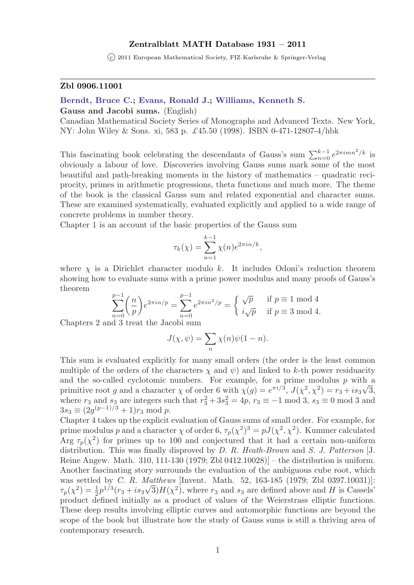## Zentralblatt MATH Database 1931 – 2011

 $\overline{c}$  2011 European Mathematical Society, FIZ Karlsruhe & Springer-Verlag

### Zbl 0906.11001

## [Berndt, Bruce C.;](http://www.zentralblatt-math.org/zmath/en/search/?q=author:au:Berndt, B**&type=pdf&format=short) [Evans, Ronald J.;](http://www.zentralblatt-math.org/zmath/en/search/?q=author:au:Evans, R**&type=pdf&format=short) [Williams, Kenneth S.](http://www.zentralblatt-math.org/zmath/en/search/?q=author:au:Williams, K**&type=pdf&format=short)

Gauss and Jacobi sums. (English)

Canadian Mathematical Society Series of Monographs and Advanced Texts. New York, NY: John Wiley & Sons. xi, 583 p. £45.50 (1998). ISBN 0-471-12807-4/hbk

This fascinating book celebrating the descendants of Gauss's sum  $\sum_{n=0}^{k-1} e^{2\pi i mn^2/k}$  is obviously a labour of love. Discoveries involving Gauss sums mark some of the most beautiful and path-breaking moments in the history of mathematics – quadratic reciprocity, primes in arithmetic progressions, theta functions and much more. The theme of the book is the classical Gauss sum and related exponential and character sums. These are examined systematically, evaluated explicitly and applied to a wide range of concrete problems in number theory.

Chapter 1 is an account of the basic properties of the Gauss sum

$$
\tau_k(\chi) = \sum_{n=1}^{k-1} \chi(n) e^{2\pi i n/k},
$$

where  $\chi$  is a Dirichlet character modulo k. It includes Odoni's reduction theorem showing how to evaluate sums with a prime power modulus and many proofs of Gauss's theorem

$$
\sum_{n=0}^{p-1} \binom{n}{p} e^{2\pi i n/p} = \sum_{n=0}^{p-1} e^{2\pi i n^2/p} = \begin{cases} \sqrt{p} & \text{if } p \equiv 1 \text{ mod } 4\\ i\sqrt{p} & \text{if } p \equiv 3 \text{ mod } 4. \end{cases}
$$

Chapters 2 and 3 treat the Jacobi sum

$$
J(\chi, \psi) = \sum_{n} \chi(n)\psi(1 - n).
$$

This sum is evaluated explicitly for many small orders (the order is the least common multiple of the orders of the characters  $\chi$  and  $\psi$ ) and linked to k-th power residuacity and the so-called cyclotomic numbers. For example, for a prime modulus p with a primitive root g and a character  $\chi$  of order 6 with  $\chi(g) = e^{\pi i/3}$ ,  $J(\chi^2, \chi^2) = r_3 + i s_3 \sqrt{3}$ , where  $r_3$  and  $s_3$  are integers such that  $r_3^2 + 3s_3^2 = 4p$ ,  $r_3 \equiv -1 \mod 3$ ,  $s_3 \equiv 0 \mod 3$  and  $3s_3 \equiv (2g^{(p-1)/3} + 1)r_3 \bmod p.$ 

Chapter 4 takes up the explicit evaluation of Gauss sums of small order. For example, for prime modulus p and a character  $\chi$  of order 6,  $\tau_p(\chi^2)^3 = pJ(\chi^2, \chi^2)$ . Kummer calculated Arg  $\tau_p(\chi^2)$  for primes up to 100 and conjectured that it had a certain non-uniform distribution. This was finally disproved by D. R. Heath-Brown and S. J. Patterson [J. Reine Angew. Math. 310, 111-130 (1979; Zbl 0412.10028)] – the distribution is uniform. Another fascinating story surrounds the evaluation of the ambiguous cube root, which was settled by *C. R. Matthews* [Invent. Math. 52, 163-185 (1979; Zbl 0397.10031)]:  $\tau_p(\chi^2) = \frac{1}{2}p^{1/3}(r_3 + is_3\sqrt{3})H(\chi^2)$ , where  $r_3$  and  $s_3$  are defined above and H is Cassels' product defined initially as a product of values of the Weierstrass elliptic functions. These deep results involving elliptic curves and automorphic functions are beyond the scope of the book but illustrate how the study of Gauss sums is still a thriving area of contemporary research.